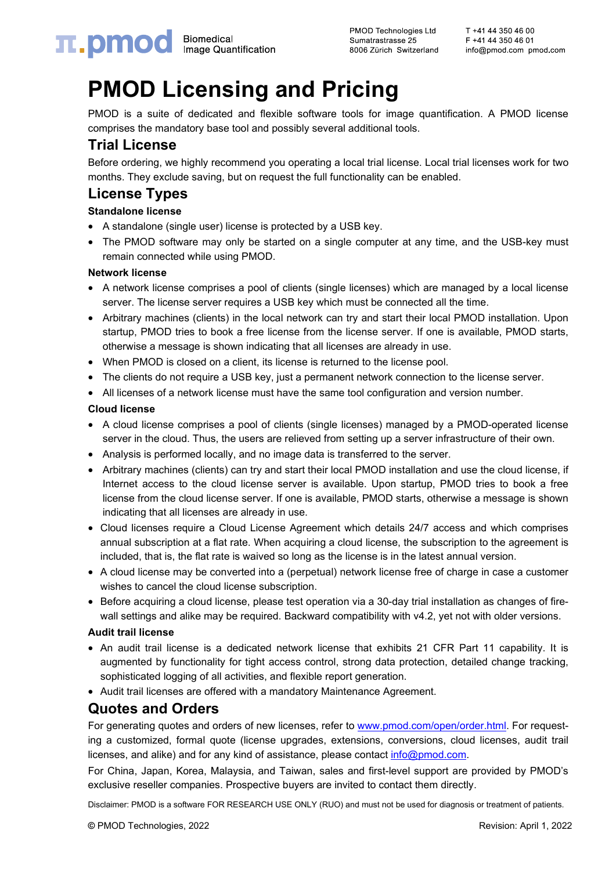**PMOD Technologies Ltd** Sumatrastrasse 25 8006 Zürich Switzerland

# **PMOD Licensing and Pricing**

PMOD is a suite of dedicated and flexible software tools for image quantification. A PMOD license comprises the mandatory base tool and possibly several additional tools.

## **Trial License**

Before ordering, we highly recommend you operating a local trial license. Local trial licenses work for two months. They exclude saving, but on request the full functionality can be enabled.

### **License Types**

#### **Standalone license**

- A standalone (single user) license is protected by a USB key.
- The PMOD software may only be started on a single computer at any time, and the USB-key must remain connected while using PMOD.

#### **Network license**

- A network license comprises a pool of clients (single licenses) which are managed by a local license server. The license server requires a USB key which must be connected all the time.
- Arbitrary machines (clients) in the local network can try and start their local PMOD installation. Upon startup, PMOD tries to book a free license from the license server. If one is available, PMOD starts, otherwise a message is shown indicating that all licenses are already in use.
- When PMOD is closed on a client, its license is returned to the license pool.
- The clients do not require a USB key, just a permanent network connection to the license server.
- All licenses of a network license must have the same tool configuration and version number.

#### **Cloud license**

- A cloud license comprises a pool of clients (single licenses) managed by a PMOD-operated license server in the cloud. Thus, the users are relieved from setting up a server infrastructure of their own.
- Analysis is performed locally, and no image data is transferred to the server.
- Arbitrary machines (clients) can try and start their local PMOD installation and use the cloud license, if Internet access to the cloud license server is available. Upon startup, PMOD tries to book a free license from the cloud license server. If one is available, PMOD starts, otherwise a message is shown indicating that all licenses are already in use.
- Cloud licenses require a Cloud License Agreement which details 24/7 access and which comprises annual subscription at a flat rate. When acquiring a cloud license, the subscription to the agreement is included, that is, the flat rate is waived so long as the license is in the latest annual version.
- A cloud license may be converted into a (perpetual) network license free of charge in case a customer wishes to cancel the cloud license subscription.
- Before acquiring a cloud license, please test operation via a 30-day trial installation as changes of firewall settings and alike may be required. Backward compatibility with v4.2, yet not with older versions.

#### **Audit trail license**

- An audit trail license is a dedicated network license that exhibits 21 CFR Part 11 capability. It is augmented by functionality for tight access control, strong data protection, detailed change tracking, sophisticated logging of all activities, and flexible report generation.
- Audit trail licenses are offered with a mandatory Maintenance Agreement.

### **Quotes and Orders**

For generating quotes and orders of new licenses, refer to [www.pmod.com/open/order.html.](http://www.pmod.com/open/order.html) For requesting a customized, formal quote (license upgrades, extensions, conversions, cloud licenses, audit trail licenses, and alike) and for any kind of assistance, please contact [info@pmod.com.](mailto:info@pmod.com)

For China, Japan, Korea, Malaysia, and Taiwan, sales and first-level support are provided by PMOD's exclusive reseller companies. Prospective buyers are invited to contact them directly.

Disclaimer: PMOD is a software FOR RESEARCH USE ONLY (RUO) and must not be used for diagnosis or treatment of patients.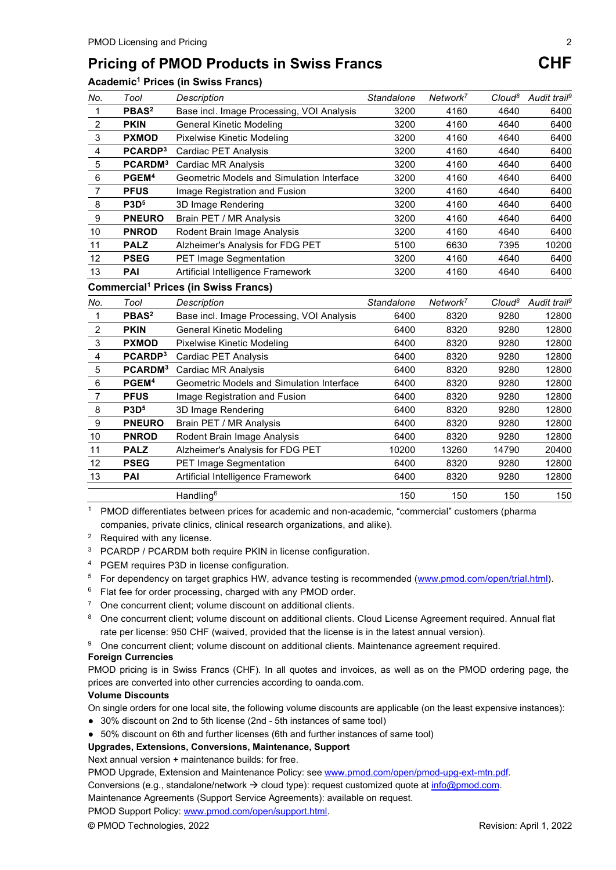## **Pricing of PMOD Products in Swiss Francs CHF**

#### **Academic1 Prices (in Swiss Francs)**

| No. | Tool                | Description                               | Standalone | Network <sup>7</sup> | Cloud <sup>8</sup> | Audit trail <sup>9</sup> |
|-----|---------------------|-------------------------------------------|------------|----------------------|--------------------|--------------------------|
|     | PBAS <sup>2</sup>   | Base incl. Image Processing, VOI Analysis | 3200       | 4160                 | 4640               | 6400                     |
| 2   | <b>PKIN</b>         | General Kinetic Modeling                  | 3200       | 4160                 | 4640               | 6400                     |
| 3   | <b>PXMOD</b>        | Pixelwise Kinetic Modeling                | 3200       | 4160                 | 4640               | 6400                     |
| 4   | PCARDP <sup>3</sup> | <b>Cardiac PET Analysis</b>               | 3200       | 4160                 | 4640               | 6400                     |
| 5   | PCARDM <sup>3</sup> | Cardiac MR Analysis                       | 3200       | 4160                 | 4640               | 6400                     |
| 6   | PGEM <sup>4</sup>   | Geometric Models and Simulation Interface | 3200       | 4160                 | 4640               | 6400                     |
| 7   | <b>PFUS</b>         | Image Registration and Fusion             | 3200       | 4160                 | 4640               | 6400                     |
| 8   | P3D <sup>5</sup>    | 3D Image Rendering                        | 3200       | 4160                 | 4640               | 6400                     |
| 9   | <b>PNEURO</b>       | Brain PET / MR Analysis                   | 3200       | 4160                 | 4640               | 6400                     |
| 10  | <b>PNROD</b>        | Rodent Brain Image Analysis               | 3200       | 4160                 | 4640               | 6400                     |
| 11  | <b>PALZ</b>         | Alzheimer's Analysis for FDG PET          | 5100       | 6630                 | 7395               | 10200                    |
| 12  | <b>PSEG</b>         | <b>PET Image Segmentation</b>             | 3200       | 4160                 | 4640               | 6400                     |
| 13  | PAI                 | Artificial Intelligence Framework         | 3200       | 4160                 | 4640               | 6400                     |

#### **Commercial1 Prices (in Swiss Francs)**

| No. | Tool                | <b>Description</b>                        | Standalone | Network <sup>7</sup> | Cloud <sup>8</sup> | Audit trail <sup>9</sup> |
|-----|---------------------|-------------------------------------------|------------|----------------------|--------------------|--------------------------|
|     | PBAS <sup>2</sup>   | Base incl. Image Processing, VOI Analysis | 6400       | 8320                 | 9280               | 12800                    |
| 2   | <b>PKIN</b>         | General Kinetic Modeling                  | 6400       | 8320                 | 9280               | 12800                    |
| 3   | <b>PXMOD</b>        | Pixelwise Kinetic Modeling                | 6400       | 8320                 | 9280               | 12800                    |
| 4   | PCARDP <sup>3</sup> | Cardiac PET Analysis                      | 6400       | 8320                 | 9280               | 12800                    |
| 5   | PCARDM <sup>3</sup> | Cardiac MR Analysis                       | 6400       | 8320                 | 9280               | 12800                    |
| 6   | PGEM <sup>4</sup>   | Geometric Models and Simulation Interface | 6400       | 8320                 | 9280               | 12800                    |
| 7   | <b>PFUS</b>         | Image Registration and Fusion             | 6400       | 8320                 | 9280               | 12800                    |
| 8   | P3D <sup>5</sup>    | 3D Image Rendering                        | 6400       | 8320                 | 9280               | 12800                    |
| 9   | <b>PNEURO</b>       | Brain PET / MR Analysis                   | 6400       | 8320                 | 9280               | 12800                    |
| 10  | <b>PNROD</b>        | Rodent Brain Image Analysis               | 6400       | 8320                 | 9280               | 12800                    |
| 11  | <b>PALZ</b>         | Alzheimer's Analysis for FDG PET          | 10200      | 13260                | 14790              | 20400                    |
| 12  | <b>PSEG</b>         | <b>PET Image Segmentation</b>             | 6400       | 8320                 | 9280               | 12800                    |
| 13  | PAI                 | Artificial Intelligence Framework         | 6400       | 8320                 | 9280               | 12800                    |
|     |                     | Handling $6$                              | 150        | 150                  | 150                | 150                      |

<sup>1</sup> PMOD differentiates between prices for academic and non-academic, "commercial" customers (pharma companies, private clinics, clinical research organizations, and alike).

- <sup>2</sup> Required with any license.
- <sup>3</sup> PCARDP / PCARDM both require PKIN in license configuration.
- <sup>4</sup> PGEM requires P3D in license configuration.
- <sup>5</sup> For dependency on target graphics HW, advance testing is recommended [\(www.pmod.com/open/trial.html\)](http://www.pmod.com/open/trial.html).
- $6$  Flat fee for order processing, charged with any PMOD order.
- <sup>7</sup> One concurrent client; volume discount on additional clients.
- 8 One concurrent client; volume discount on additional clients. Cloud License Agreement required. Annual flat rate per license: 950 CHF (waived, provided that the license is in the latest annual version).
- <sup>9</sup> One concurrent client; volume discount on additional clients. Maintenance agreement required.

#### **Foreign Currencies**

PMOD pricing is in Swiss Francs (CHF). In all quotes and invoices, as well as on the PMOD ordering page, the prices are converted into other currencies according to oanda.com.

#### **Volume Discounts**

On single orders for one local site, the following volume discounts are applicable (on the least expensive instances):

- 30% discount on 2nd to 5th license (2nd 5th instances of same tool)
- 50% discount on 6th and further licenses (6th and further instances of same tool)

#### **Upgrades, Extensions, Conversions, Maintenance, Support**

Next annual version + maintenance builds: for free.

PMOD Upgrade, Extension and Maintenance Policy: se[e www.pmod.com/open/pmod-upg-ext-mtn.pdf.](http://www.pmod.com/open/pmod-upg-ext-mtn.pdf)

Conversions (e.g., standalone/network  $\rightarrow$  cloud type): request customized quote at [info@pmod.com.](mailto:info@pmod.com)

Maintenance Agreements (Support Service Agreements): available on request.

PMOD Support Policy[: www.pmod.com/open/support.html.](http://www.pmod.com/open/support.html)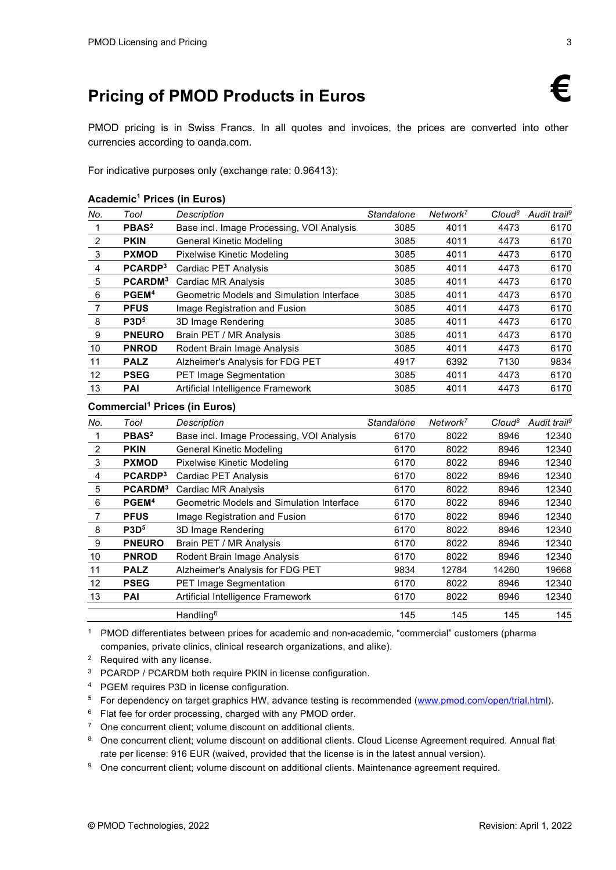# **Pricing of PMOD Products in Euros €**

PMOD pricing is in Swiss Francs. In all quotes and invoices, the prices are converted into other currencies according to oanda.com.

For indicative purposes only (exchange rate: 0.96413):

#### **Academic1 Prices (in Euros)**

| No. | Tool                | <b>Description</b>                        | Standalone | Network <sup>7</sup> | Cloud <sup>8</sup> | Audit trail <sup>9</sup> |
|-----|---------------------|-------------------------------------------|------------|----------------------|--------------------|--------------------------|
|     | PBAS <sup>2</sup>   | Base incl. Image Processing, VOI Analysis | 3085       | 4011                 | 4473               | 6170                     |
| 2   | <b>PKIN</b>         | <b>General Kinetic Modeling</b>           | 3085       | 4011                 | 4473               | 6170                     |
| 3   | <b>PXMOD</b>        | Pixelwise Kinetic Modeling                | 3085       | 4011                 | 4473               | 6170                     |
| 4   | PCARDP <sup>3</sup> | Cardiac PET Analysis                      | 3085       | 4011                 | 4473               | 6170                     |
| 5   | PCARDM <sup>3</sup> | Cardiac MR Analysis                       | 3085       | 4011                 | 4473               | 6170                     |
| 6   | PGEM <sup>4</sup>   | Geometric Models and Simulation Interface | 3085       | 4011                 | 4473               | 6170                     |
| 7   | <b>PFUS</b>         | Image Registration and Fusion             | 3085       | 4011                 | 4473               | 6170                     |
| 8   | P3D <sup>5</sup>    | 3D Image Rendering                        | 3085       | 4011                 | 4473               | 6170                     |
| 9   | <b>PNEURO</b>       | Brain PET / MR Analysis                   | 3085       | 4011                 | 4473               | 6170                     |
| 10  | <b>PNROD</b>        | Rodent Brain Image Analysis               | 3085       | 4011                 | 4473               | 6170                     |
| 11  | <b>PALZ</b>         | Alzheimer's Analysis for FDG PET          | 4917       | 6392                 | 7130               | 9834                     |
| 12  | <b>PSEG</b>         | <b>PET Image Segmentation</b>             | 3085       | 4011                 | 4473               | 6170                     |
| 13  | <b>PAI</b>          | Artificial Intelligence Framework         | 3085       | 4011                 | 4473               | 6170                     |

#### **Commercial1 Prices (in Euros)**

| No. | Tool                | Description                               | Standalone | Network <sup>7</sup> | Cloud <sup>8</sup> | Audit trail <sup>9</sup> |
|-----|---------------------|-------------------------------------------|------------|----------------------|--------------------|--------------------------|
|     | PBAS <sup>2</sup>   | Base incl. Image Processing, VOI Analysis | 6170       | 8022                 | 8946               | 12340                    |
| 2   | <b>PKIN</b>         | <b>General Kinetic Modeling</b>           | 6170       | 8022                 | 8946               | 12340                    |
| 3   | <b>PXMOD</b>        | Pixelwise Kinetic Modeling                | 6170       | 8022                 | 8946               | 12340                    |
| 4   | PCARDP <sup>3</sup> | Cardiac PET Analysis                      | 6170       | 8022                 | 8946               | 12340                    |
| 5   | PCARDM <sup>3</sup> | Cardiac MR Analysis                       | 6170       | 8022                 | 8946               | 12340                    |
| 6   | PGEM <sup>4</sup>   | Geometric Models and Simulation Interface | 6170       | 8022                 | 8946               | 12340                    |
| 7   | <b>PFUS</b>         | Image Registration and Fusion             | 6170       | 8022                 | 8946               | 12340                    |
| 8   | P3D <sup>5</sup>    | 3D Image Rendering                        | 6170       | 8022                 | 8946               | 12340                    |
| 9   | <b>PNEURO</b>       | Brain PET / MR Analysis                   | 6170       | 8022                 | 8946               | 12340                    |
| 10  | <b>PNROD</b>        | Rodent Brain Image Analysis               | 6170       | 8022                 | 8946               | 12340                    |
| 11  | <b>PALZ</b>         | Alzheimer's Analysis for FDG PET          | 9834       | 12784                | 14260              | 19668                    |
| 12  | <b>PSEG</b>         | <b>PET Image Segmentation</b>             | 6170       | 8022                 | 8946               | 12340                    |
| 13  | <b>PAI</b>          | Artificial Intelligence Framework         | 6170       | 8022                 | 8946               | 12340                    |
|     |                     | Handling <sup>6</sup>                     | 145        | 145                  | 145                | 145                      |

 PMOD differentiates between prices for academic and non-academic, "commercial" customers (pharma companies, private clinics, clinical research organizations, and alike).

Required with any license.

<sup>3</sup> PCARDP / PCARDM both require PKIN in license configuration.

PGEM requires P3D in license configuration.

For dependency on target graphics HW, advance testing is recommended [\(www.pmod.com/open/trial.html\)](http://www.pmod.com/open/trial.html).

Flat fee for order processing, charged with any PMOD order.

One concurrent client; volume discount on additional clients.

8 One concurrent client; volume discount on additional clients. Cloud License Agreement required. Annual flat rate per license: 916 EUR (waived, provided that the license is in the latest annual version).

<sup>9</sup> One concurrent client; volume discount on additional clients. Maintenance agreement required.